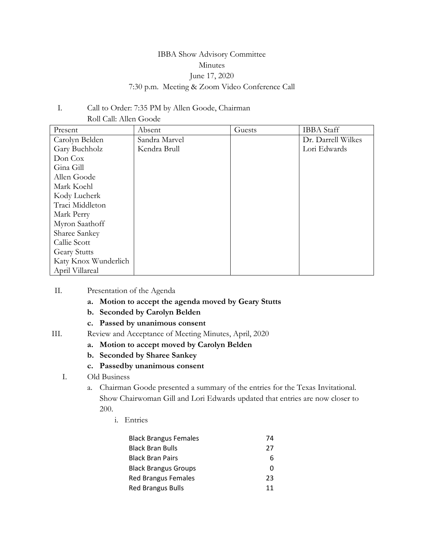# IBBA Show Advisory Committee Minutes June 17, 2020 7:30 p.m. Meeting & Zoom Video Conference Call

## I. Call to Order: 7:35 PM by Allen Goode, Chairman Roll Call: Allen Goode

| Present              | Absent        | Guests | <b>IBBA</b> Staff  |
|----------------------|---------------|--------|--------------------|
| Carolyn Belden       | Sandra Marvel |        | Dr. Darrell Wilkes |
| Gary Buchholz        | Kendra Brull  |        | Lori Edwards       |
| Don Cox              |               |        |                    |
| Gina Gill            |               |        |                    |
| Allen Goode          |               |        |                    |
| Mark Koehl           |               |        |                    |
| Kody Lucherk         |               |        |                    |
| Traci Middleton      |               |        |                    |
| Mark Perry           |               |        |                    |
| Myron Saathoff       |               |        |                    |
| Sharee Sankey        |               |        |                    |
| Callie Scott         |               |        |                    |
| <b>Geary Stutts</b>  |               |        |                    |
| Katy Knox Wunderlich |               |        |                    |
| April Villareal      |               |        |                    |

### II. Presentation of the Agenda

- **a. Motion to accept the agenda moved by Geary Stutts**
- **b. Seconded by Carolyn Belden**
- **c. Passed by unanimous consent**
- III. Review and Acceptance of Meeting Minutes, April, 2020
	- **a. Motion to accept moved by Carolyn Belden**
	- **b. Seconded by Sharee Sankey**
	- **c. Passedby unanimous consent**
	- I. Old Business
		- a. Chairman Goode presented a summary of the entries for the Texas Invitational. Show Chairwoman Gill and Lori Edwards updated that entries are now closer to 200.
			- i. Entries

| <b>Black Brangus Females</b> | 74 |
|------------------------------|----|
| <b>Black Bran Bulls</b>      | 27 |
| <b>Black Bran Pairs</b>      | 6  |
| <b>Black Brangus Groups</b>  | O  |
| Red Brangus Females          | 23 |
| <b>Red Brangus Bulls</b>     | 11 |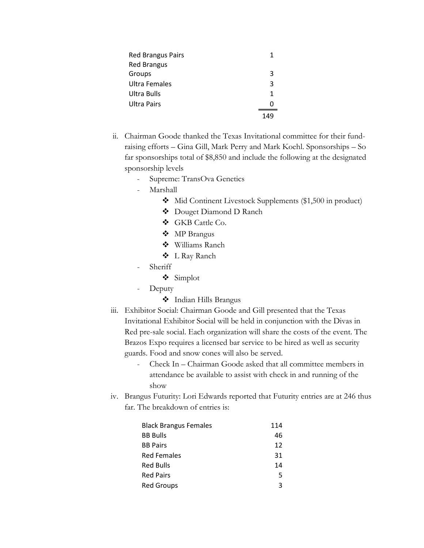| <b>Red Brangus Pairs</b> |   |
|--------------------------|---|
| <b>Red Brangus</b>       |   |
| Groups                   | 3 |
| <b>Ultra Females</b>     | 3 |
| Ultra Bulls              | 1 |
| Ultra Pairs              |   |
|                          |   |

- ii. Chairman Goode thanked the Texas Invitational committee for their fundraising efforts – Gina Gill, Mark Perry and Mark Koehl. Sponsorships – So far sponsorships total of \$8,850 and include the following at the designated sponsorship levels
	- Supreme: TransOva Genetics
	- Marshall
		- Mid Continent Livestock Supplements (\$1,500 in product)
		- Douget Diamond D Ranch
		- GKB Cattle Co.
		- MP Brangus
		- Williams Ranch
		- L Ray Ranch
	- Sheriff
		- Simplot
	- Deputy
		- Indian Hills Brangus
- iii. Exhibitor Social: Chairman Goode and Gill presented that the Texas Invitational Exhibitor Social will be held in conjunction with the Divas in Red pre-sale social. Each organization will share the costs of the event. The Brazos Expo requires a licensed bar service to be hired as well as security guards. Food and snow cones will also be served.
	- Check In Chairman Goode asked that all committee members in attendance be available to assist with check in and running of the show
- iv. Brangus Futurity: Lori Edwards reported that Futurity entries are at 246 thus far. The breakdown of entries is:

| <b>Black Brangus Females</b> | 114 |
|------------------------------|-----|
| <b>BB Bulls</b>              | 46  |
| <b>BB Pairs</b>              | 12  |
| <b>Red Females</b>           | 31  |
| <b>Red Bulls</b>             | 14  |
| <b>Red Pairs</b>             | 5   |
| <b>Red Groups</b>            | ર   |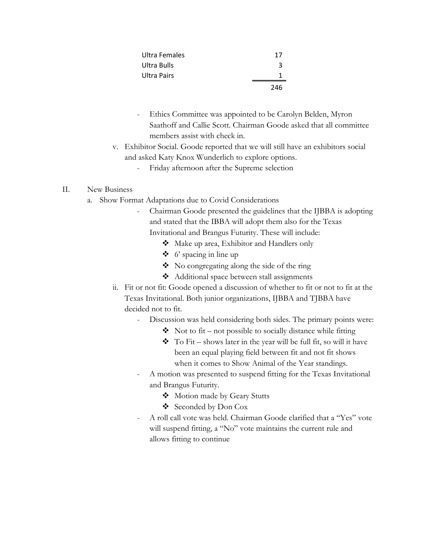| Ultra Females | 17  |
|---------------|-----|
| Ultra Bulls   | २   |
| Ultra Pairs   |     |
|               | 246 |

- Ethics Committee was appointed to be Carolyn Belden, Myron Saathoff and Callie Scott. Chairman Goode asked that all committee members assist with check in.
- v. Exhibitor Social. Goode reported that we will still have an exhibitors social and asked Katy Knox Wunderlich to explore options.
	- Friday afternoon after the Supreme selection

## II. New Business

- a. Show Format Adaptations due to Covid Considerations
	- Chairman Goode presented the guidelines that the IJBBA is adopting and stated that the IBBA will adopt them also for the Texas Invitational and Brangus Futurity. These will include:
		- Make up area, Exhibitor and Handlers only
		- $\bullet$  6' spacing in line up
		- $\bullet$  No congregating along the side of the ring
		- ◆ Additional space between stall assignments
	- ii. Fit or not fit: Goode opened a discussion of whether to fit or not to fit at the Texas Invitational. Both junior organizations, IJBBA and TJBBA have decided not to fit.
		- Discussion was held considering both sides. The primary points were:
			- $\bullet$  Not to fit not possible to socially distance while fitting
			- $\bullet$  To Fit shows later in the year will be full fit, so will it have been an equal playing field between fit and not fit shows when it comes to Show Animal of the Year standings.
		- A motion was presented to suspend fitting for the Texas Invitational and Brangus Futurity.
			- Motion made by Geary Stutts
			- Seconded by Don Cox
		- A roll call vote was held. Chairman Goode clarified that a "Yes" vote will suspend fitting, a "No" vote maintains the current rule and allows fitting to continue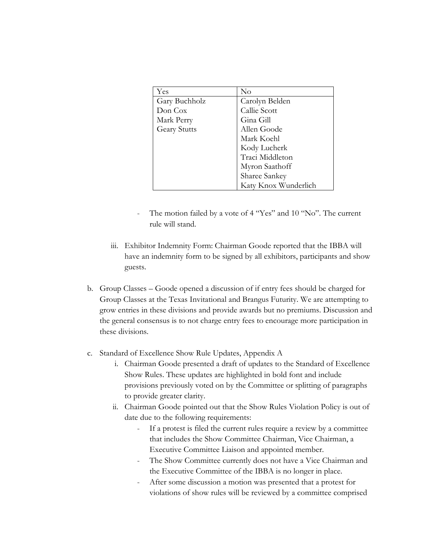| Yes                 | $\rm No$             |
|---------------------|----------------------|
| Gary Buchholz       | Carolyn Belden       |
| Don Cox             | Callie Scott         |
| Mark Perry          | Gina Gill            |
| <b>Geary Stutts</b> | Allen Goode          |
|                     | Mark Koehl           |
|                     | Kody Lucherk         |
|                     | Traci Middleton      |
|                     | Myron Saathoff       |
|                     | Sharee Sankey        |
|                     | Katy Knox Wunderlich |

- The motion failed by a vote of 4 "Yes" and 10 "No". The current rule will stand.
- iii. Exhibitor Indemnity Form: Chairman Goode reported that the IBBA will have an indemnity form to be signed by all exhibitors, participants and show guests.
- b. Group Classes Goode opened a discussion of if entry fees should be charged for Group Classes at the Texas Invitational and Brangus Futurity. We are attempting to grow entries in these divisions and provide awards but no premiums. Discussion and the general consensus is to not charge entry fees to encourage more participation in these divisions.
- c. Standard of Excellence Show Rule Updates, Appendix A
	- i. Chairman Goode presented a draft of updates to the Standard of Excellence Show Rules. These updates are highlighted in bold font and include provisions previously voted on by the Committee or splitting of paragraphs to provide greater clarity.
	- ii. Chairman Goode pointed out that the Show Rules Violation Policy is out of date due to the following requirements:
		- If a protest is filed the current rules require a review by a committee that includes the Show Committee Chairman, Vice Chairman, a Executive Committee Liaison and appointed member.
		- The Show Committee currently does not have a Vice Chairman and the Executive Committee of the IBBA is no longer in place.
		- After some discussion a motion was presented that a protest for violations of show rules will be reviewed by a committee comprised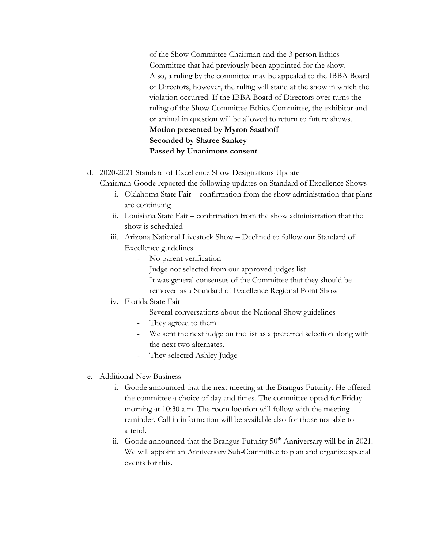of the Show Committee Chairman and the 3 person Ethics Committee that had previously been appointed for the show. Also, a ruling by the committee may be appealed to the IBBA Board of Directors, however, the ruling will stand at the show in which the violation occurred. If the IBBA Board of Directors over turns the ruling of the Show Committee Ethics Committee, the exhibitor and or animal in question will be allowed to return to future shows. **Motion presented by Myron Saathoff Seconded by Sharee Sankey Passed by Unanimous consent**

d. 2020-2021 Standard of Excellence Show Designations Update

Chairman Goode reported the following updates on Standard of Excellence Shows

- i. Oklahoma State Fair confirmation from the show administration that plans are continuing
- ii. Louisiana State Fair confirmation from the show administration that the show is scheduled
- iii. Arizona National Livestock Show Declined to follow our Standard of Excellence guidelines
	- No parent verification
	- Judge not selected from our approved judges list
	- It was general consensus of the Committee that they should be removed as a Standard of Excellence Regional Point Show
- iv. Florida State Fair
	- Several conversations about the National Show guidelines
	- They agreed to them
	- We sent the next judge on the list as a preferred selection along with the next two alternates.
	- They selected Ashley Judge
- e. Additional New Business
	- i. Goode announced that the next meeting at the Brangus Futurity. He offered the committee a choice of day and times. The committee opted for Friday morning at 10:30 a.m. The room location will follow with the meeting reminder. Call in information will be available also for those not able to attend.
	- ii. Goode announced that the Brangus Futurity  $50<sup>th</sup>$  Anniversary will be in 2021. We will appoint an Anniversary Sub-Committee to plan and organize special events for this.